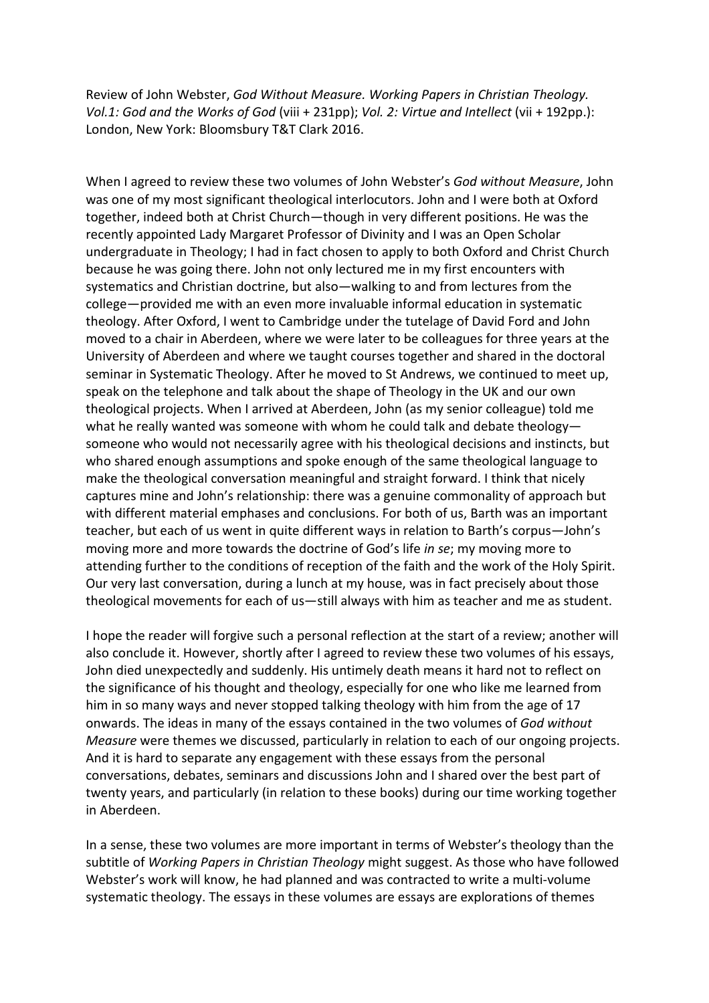Review of John Webster, *God Without Measure. Working Papers in Christian Theology. Vol.1: God and the Works of God* (viii + 231pp); *Vol. 2: Virtue and Intellect* (vii + 192pp.): London, New York: Bloomsbury T&T Clark 2016.

When I agreed to review these two volumes of John Webster's *God without Measure*, John was one of my most significant theological interlocutors. John and I were both at Oxford together, indeed both at Christ Church—though in very different positions. He was the recently appointed Lady Margaret Professor of Divinity and I was an Open Scholar undergraduate in Theology; I had in fact chosen to apply to both Oxford and Christ Church because he was going there. John not only lectured me in my first encounters with systematics and Christian doctrine, but also—walking to and from lectures from the college—provided me with an even more invaluable informal education in systematic theology. After Oxford, I went to Cambridge under the tutelage of David Ford and John moved to a chair in Aberdeen, where we were later to be colleagues for three years at the University of Aberdeen and where we taught courses together and shared in the doctoral seminar in Systematic Theology. After he moved to St Andrews, we continued to meet up, speak on the telephone and talk about the shape of Theology in the UK and our own theological projects. When I arrived at Aberdeen, John (as my senior colleague) told me what he really wanted was someone with whom he could talk and debate theologysomeone who would not necessarily agree with his theological decisions and instincts, but who shared enough assumptions and spoke enough of the same theological language to make the theological conversation meaningful and straight forward. I think that nicely captures mine and John's relationship: there was a genuine commonality of approach but with different material emphases and conclusions. For both of us, Barth was an important teacher, but each of us went in quite different ways in relation to Barth's corpus—John's moving more and more towards the doctrine of God's life *in se*; my moving more to attending further to the conditions of reception of the faith and the work of the Holy Spirit. Our very last conversation, during a lunch at my house, was in fact precisely about those theological movements for each of us—still always with him as teacher and me as student.

I hope the reader will forgive such a personal reflection at the start of a review; another will also conclude it. However, shortly after I agreed to review these two volumes of his essays, John died unexpectedly and suddenly. His untimely death means it hard not to reflect on the significance of his thought and theology, especially for one who like me learned from him in so many ways and never stopped talking theology with him from the age of 17 onwards. The ideas in many of the essays contained in the two volumes of *God without Measure* were themes we discussed, particularly in relation to each of our ongoing projects. And it is hard to separate any engagement with these essays from the personal conversations, debates, seminars and discussions John and I shared over the best part of twenty years, and particularly (in relation to these books) during our time working together in Aberdeen.

In a sense, these two volumes are more important in terms of Webster's theology than the subtitle of *Working Papers in Christian Theology* might suggest. As those who have followed Webster's work will know, he had planned and was contracted to write a multi-volume systematic theology. The essays in these volumes are essays are explorations of themes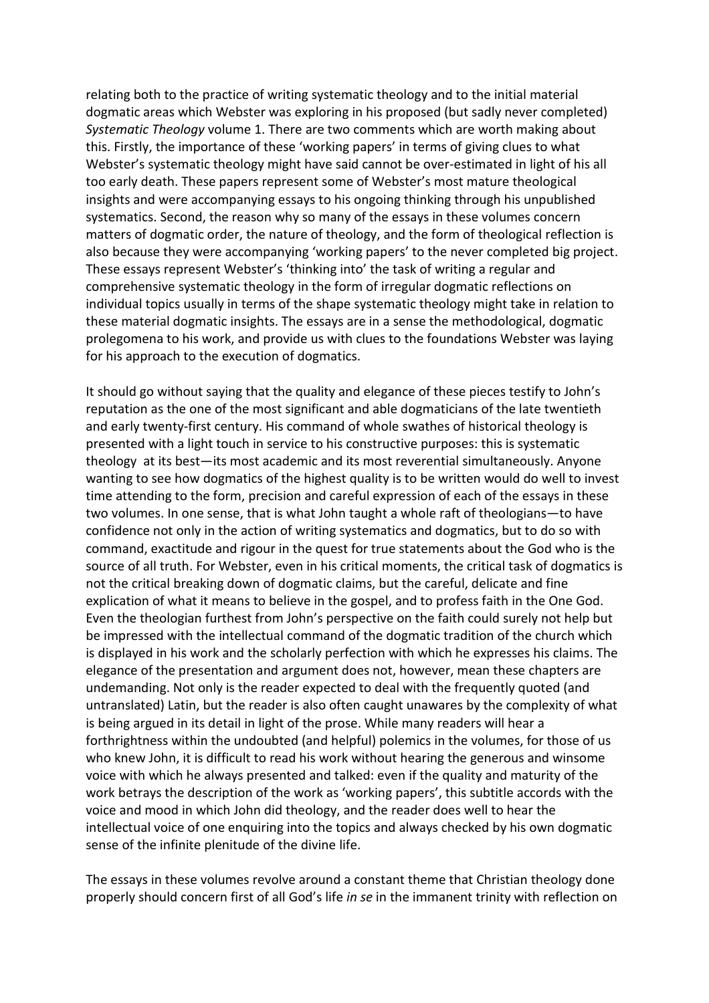relating both to the practice of writing systematic theology and to the initial material dogmatic areas which Webster was exploring in his proposed (but sadly never completed) *Systematic Theology* volume 1. There are two comments which are worth making about this. Firstly, the importance of these 'working papers' in terms of giving clues to what Webster's systematic theology might have said cannot be over-estimated in light of his all too early death. These papers represent some of Webster's most mature theological insights and were accompanying essays to his ongoing thinking through his unpublished systematics. Second, the reason why so many of the essays in these volumes concern matters of dogmatic order, the nature of theology, and the form of theological reflection is also because they were accompanying 'working papers' to the never completed big project. These essays represent Webster's 'thinking into' the task of writing a regular and comprehensive systematic theology in the form of irregular dogmatic reflections on individual topics usually in terms of the shape systematic theology might take in relation to these material dogmatic insights. The essays are in a sense the methodological, dogmatic prolegomena to his work, and provide us with clues to the foundations Webster was laying for his approach to the execution of dogmatics.

It should go without saying that the quality and elegance of these pieces testify to John's reputation as the one of the most significant and able dogmaticians of the late twentieth and early twenty-first century. His command of whole swathes of historical theology is presented with a light touch in service to his constructive purposes: this is systematic theology at its best—its most academic and its most reverential simultaneously. Anyone wanting to see how dogmatics of the highest quality is to be written would do well to invest time attending to the form, precision and careful expression of each of the essays in these two volumes. In one sense, that is what John taught a whole raft of theologians—to have confidence not only in the action of writing systematics and dogmatics, but to do so with command, exactitude and rigour in the quest for true statements about the God who is the source of all truth. For Webster, even in his critical moments, the critical task of dogmatics is not the critical breaking down of dogmatic claims, but the careful, delicate and fine explication of what it means to believe in the gospel, and to profess faith in the One God. Even the theologian furthest from John's perspective on the faith could surely not help but be impressed with the intellectual command of the dogmatic tradition of the church which is displayed in his work and the scholarly perfection with which he expresses his claims. The elegance of the presentation and argument does not, however, mean these chapters are undemanding. Not only is the reader expected to deal with the frequently quoted (and untranslated) Latin, but the reader is also often caught unawares by the complexity of what is being argued in its detail in light of the prose. While many readers will hear a forthrightness within the undoubted (and helpful) polemics in the volumes, for those of us who knew John, it is difficult to read his work without hearing the generous and winsome voice with which he always presented and talked: even if the quality and maturity of the work betrays the description of the work as 'working papers', this subtitle accords with the voice and mood in which John did theology, and the reader does well to hear the intellectual voice of one enquiring into the topics and always checked by his own dogmatic sense of the infinite plenitude of the divine life.

The essays in these volumes revolve around a constant theme that Christian theology done properly should concern first of all God's life *in se* in the immanent trinity with reflection on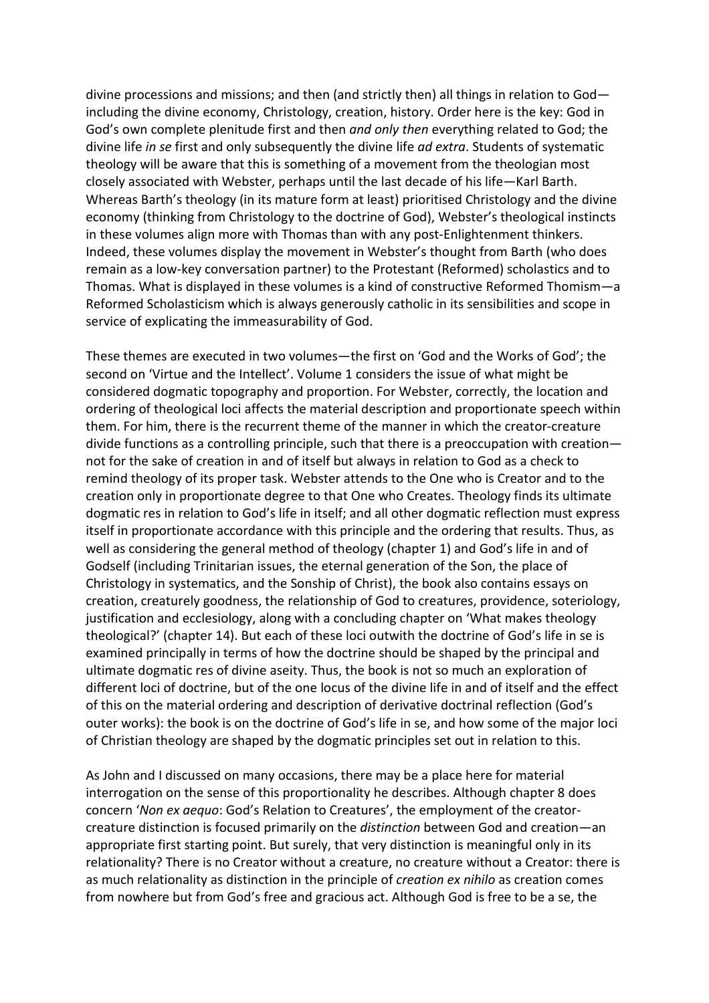divine processions and missions; and then (and strictly then) all things in relation to God including the divine economy, Christology, creation, history. Order here is the key: God in God's own complete plenitude first and then *and only then* everything related to God; the divine life *in se* first and only subsequently the divine life *ad extra*. Students of systematic theology will be aware that this is something of a movement from the theologian most closely associated with Webster, perhaps until the last decade of his life—Karl Barth. Whereas Barth's theology (in its mature form at least) prioritised Christology and the divine economy (thinking from Christology to the doctrine of God), Webster's theological instincts in these volumes align more with Thomas than with any post-Enlightenment thinkers. Indeed, these volumes display the movement in Webster's thought from Barth (who does remain as a low-key conversation partner) to the Protestant (Reformed) scholastics and to Thomas. What is displayed in these volumes is a kind of constructive Reformed Thomism—a Reformed Scholasticism which is always generously catholic in its sensibilities and scope in service of explicating the immeasurability of God.

These themes are executed in two volumes—the first on 'God and the Works of God'; the second on 'Virtue and the Intellect'. Volume 1 considers the issue of what might be considered dogmatic topography and proportion. For Webster, correctly, the location and ordering of theological loci affects the material description and proportionate speech within them. For him, there is the recurrent theme of the manner in which the creator-creature divide functions as a controlling principle, such that there is a preoccupation with creation not for the sake of creation in and of itself but always in relation to God as a check to remind theology of its proper task. Webster attends to the One who is Creator and to the creation only in proportionate degree to that One who Creates. Theology finds its ultimate dogmatic res in relation to God's life in itself; and all other dogmatic reflection must express itself in proportionate accordance with this principle and the ordering that results. Thus, as well as considering the general method of theology (chapter 1) and God's life in and of Godself (including Trinitarian issues, the eternal generation of the Son, the place of Christology in systematics, and the Sonship of Christ), the book also contains essays on creation, creaturely goodness, the relationship of God to creatures, providence, soteriology, justification and ecclesiology, along with a concluding chapter on 'What makes theology theological?' (chapter 14). But each of these loci outwith the doctrine of God's life in se is examined principally in terms of how the doctrine should be shaped by the principal and ultimate dogmatic res of divine aseity. Thus, the book is not so much an exploration of different loci of doctrine, but of the one locus of the divine life in and of itself and the effect of this on the material ordering and description of derivative doctrinal reflection (God's outer works): the book is on the doctrine of God's life in se, and how some of the major loci of Christian theology are shaped by the dogmatic principles set out in relation to this.

As John and I discussed on many occasions, there may be a place here for material interrogation on the sense of this proportionality he describes. Although chapter 8 does concern '*Non ex aequo*: God's Relation to Creatures', the employment of the creatorcreature distinction is focused primarily on the *distinction* between God and creation—an appropriate first starting point. But surely, that very distinction is meaningful only in its relationality? There is no Creator without a creature, no creature without a Creator: there is as much relationality as distinction in the principle of *creation ex nihilo* as creation comes from nowhere but from God's free and gracious act. Although God is free to be a se, the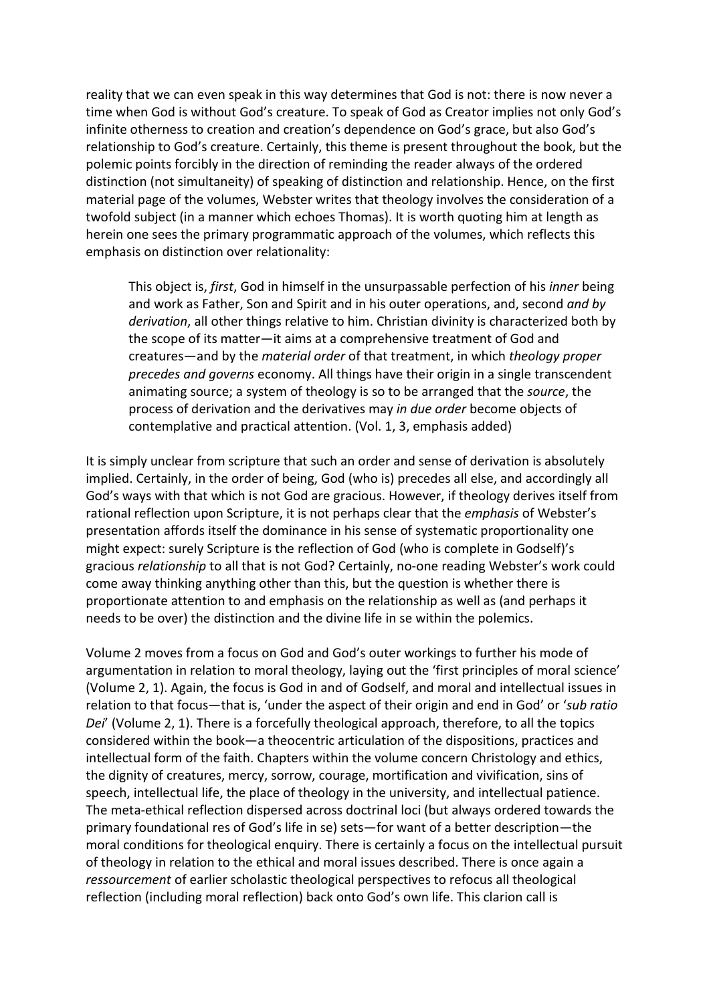reality that we can even speak in this way determines that God is not: there is now never a time when God is without God's creature. To speak of God as Creator implies not only God's infinite otherness to creation and creation's dependence on God's grace, but also God's relationship to God's creature. Certainly, this theme is present throughout the book, but the polemic points forcibly in the direction of reminding the reader always of the ordered distinction (not simultaneity) of speaking of distinction and relationship. Hence, on the first material page of the volumes, Webster writes that theology involves the consideration of a twofold subject (in a manner which echoes Thomas). It is worth quoting him at length as herein one sees the primary programmatic approach of the volumes, which reflects this emphasis on distinction over relationality:

This object is, *first*, God in himself in the unsurpassable perfection of his *inner* being and work as Father, Son and Spirit and in his outer operations, and, second *and by derivation*, all other things relative to him. Christian divinity is characterized both by the scope of its matter—it aims at a comprehensive treatment of God and creatures—and by the *material order* of that treatment, in which *theology proper precedes and governs* economy. All things have their origin in a single transcendent animating source; a system of theology is so to be arranged that the *source*, the process of derivation and the derivatives may *in due order* become objects of contemplative and practical attention. (Vol. 1, 3, emphasis added)

It is simply unclear from scripture that such an order and sense of derivation is absolutely implied. Certainly, in the order of being, God (who is) precedes all else, and accordingly all God's ways with that which is not God are gracious. However, if theology derives itself from rational reflection upon Scripture, it is not perhaps clear that the *emphasis* of Webster's presentation affords itself the dominance in his sense of systematic proportionality one might expect: surely Scripture is the reflection of God (who is complete in Godself)'s gracious *relationship* to all that is not God? Certainly, no-one reading Webster's work could come away thinking anything other than this, but the question is whether there is proportionate attention to and emphasis on the relationship as well as (and perhaps it needs to be over) the distinction and the divine life in se within the polemics.

Volume 2 moves from a focus on God and God's outer workings to further his mode of argumentation in relation to moral theology, laying out the 'first principles of moral science' (Volume 2, 1). Again, the focus is God in and of Godself, and moral and intellectual issues in relation to that focus—that is, 'under the aspect of their origin and end in God' or '*sub ratio Dei*' (Volume 2, 1). There is a forcefully theological approach, therefore, to all the topics considered within the book—a theocentric articulation of the dispositions, practices and intellectual form of the faith. Chapters within the volume concern Christology and ethics, the dignity of creatures, mercy, sorrow, courage, mortification and vivification, sins of speech, intellectual life, the place of theology in the university, and intellectual patience. The meta-ethical reflection dispersed across doctrinal loci (but always ordered towards the primary foundational res of God's life in se) sets—for want of a better description—the moral conditions for theological enquiry. There is certainly a focus on the intellectual pursuit of theology in relation to the ethical and moral issues described. There is once again a *ressourcement* of earlier scholastic theological perspectives to refocus all theological reflection (including moral reflection) back onto God's own life. This clarion call is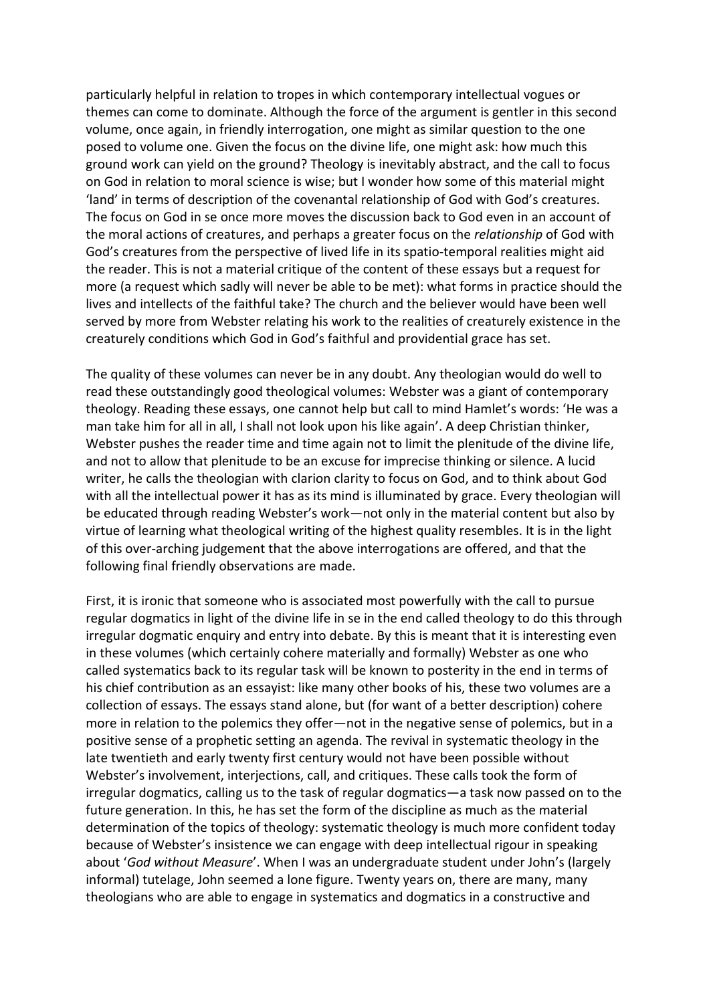particularly helpful in relation to tropes in which contemporary intellectual vogues or themes can come to dominate. Although the force of the argument is gentler in this second volume, once again, in friendly interrogation, one might as similar question to the one posed to volume one. Given the focus on the divine life, one might ask: how much this ground work can yield on the ground? Theology is inevitably abstract, and the call to focus on God in relation to moral science is wise; but I wonder how some of this material might 'land' in terms of description of the covenantal relationship of God with God's creatures. The focus on God in se once more moves the discussion back to God even in an account of the moral actions of creatures, and perhaps a greater focus on the *relationship* of God with God's creatures from the perspective of lived life in its spatio-temporal realities might aid the reader. This is not a material critique of the content of these essays but a request for more (a request which sadly will never be able to be met): what forms in practice should the lives and intellects of the faithful take? The church and the believer would have been well served by more from Webster relating his work to the realities of creaturely existence in the creaturely conditions which God in God's faithful and providential grace has set.

The quality of these volumes can never be in any doubt. Any theologian would do well to read these outstandingly good theological volumes: Webster was a giant of contemporary theology. Reading these essays, one cannot help but call to mind Hamlet's words: 'He was a man take him for all in all, I shall not look upon his like again'. A deep Christian thinker, Webster pushes the reader time and time again not to limit the plenitude of the divine life, and not to allow that plenitude to be an excuse for imprecise thinking or silence. A lucid writer, he calls the theologian with clarion clarity to focus on God, and to think about God with all the intellectual power it has as its mind is illuminated by grace. Every theologian will be educated through reading Webster's work—not only in the material content but also by virtue of learning what theological writing of the highest quality resembles. It is in the light of this over-arching judgement that the above interrogations are offered, and that the following final friendly observations are made.

First, it is ironic that someone who is associated most powerfully with the call to pursue regular dogmatics in light of the divine life in se in the end called theology to do this through irregular dogmatic enquiry and entry into debate. By this is meant that it is interesting even in these volumes (which certainly cohere materially and formally) Webster as one who called systematics back to its regular task will be known to posterity in the end in terms of his chief contribution as an essayist: like many other books of his, these two volumes are a collection of essays. The essays stand alone, but (for want of a better description) cohere more in relation to the polemics they offer—not in the negative sense of polemics, but in a positive sense of a prophetic setting an agenda. The revival in systematic theology in the late twentieth and early twenty first century would not have been possible without Webster's involvement, interjections, call, and critiques. These calls took the form of irregular dogmatics, calling us to the task of regular dogmatics—a task now passed on to the future generation. In this, he has set the form of the discipline as much as the material determination of the topics of theology: systematic theology is much more confident today because of Webster's insistence we can engage with deep intellectual rigour in speaking about '*God without Measure*'. When I was an undergraduate student under John's (largely informal) tutelage, John seemed a lone figure. Twenty years on, there are many, many theologians who are able to engage in systematics and dogmatics in a constructive and